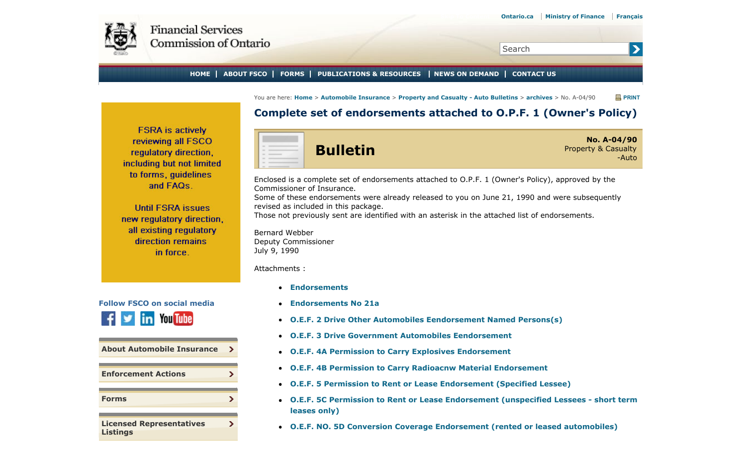<span id="page-0-0"></span>

 $\rightarrow$ 

Search

## **HOME ABOUT FSCO FORMS PUBLICATIONS & RESOURCES NEWS ON DEMAND CONTACT US**

You are here: **Home** > **Automobile Insurance** > **Property and Casualty - Auto Bulletins** > **archives** > No. A-04/90 **PRINT**

## **Complete set of endorsements attached to O.P.F. 1 (Owner's Policy)**

**FSRA** is actively reviewing all FSCO regulatory direction, including but not limited to forms, quidelines and FAQs.

**Until FSRA issues** new regulatory direction, all existing regulatory direction remains in force.



| <b>About Automobile Insurance</b>                  |  |
|----------------------------------------------------|--|
|                                                    |  |
| <b>Enforcement Actions</b>                         |  |
|                                                    |  |
| <b>Forms</b>                                       |  |
|                                                    |  |
| <b>Licensed Representatives</b><br><b>Listings</b> |  |



Enclosed is a complete set of endorsements attached to O.P.F. 1 (Owner's Policy), approved by the Commissioner of Insurance.

Some of these endorsements were already released to you on June 21, 1990 and were subsequently revised as included in this package.

Those not previously sent are identified with an asterisk in the attached list of endorsements.

Bernard Webber Deputy Commissioner July 9, 1990

Attachments :

- **Endorsements**
- **Endorsements No 21a**
- **O.E.F. 2 Drive Other Automobiles Eendorsement Named Persons(s)**
- **O.E.F. 3 Drive Government Automobiles Eendorsement**
- **O.E.F. 4A Permission to Carry Explosives Endorsement**
- **O.E.F. 4B Permission to Carry Radioacnw Material Endorsement**
- **O.E.F. 5 Permission to Rent or Lease Endorsement (Specified Lessee)**
- **O.E.F. 5C Permission to Rent or Lease Endorsement (unspecified Lessees short term leases only)**
- **O.E.F. NO. 5D Conversion Coverage Endorsement (rented or leased automobiles)**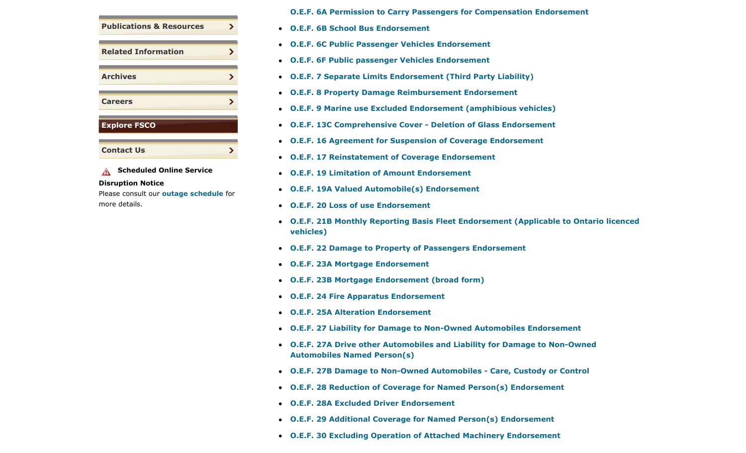| <b>Publications &amp; Resources</b> |  |
|-------------------------------------|--|
| <b>Related Information</b>          |  |
| <b>Archives</b>                     |  |
| <b>Careers</b>                      |  |
| <b>Explore FSCO</b>                 |  |
| <b>Contact Us</b>                   |  |

**A** Scheduled Online Service

## **Disruption Notice**

Please consult our **outage schedule** for more details.

## **O.E.F. 6A Permission to Carry Passengers for Compensation Endorsement**

- **O.E.F. 6B School Bus Endorsement**
- **O.E.F. 6C Public Passenger Vehicles Endorsement**
- **O.E.F. 6F Public passenger Vehicles Endorsement**
- **O.E.F. 7 Separate Limits Endorsement (Third Party Liability)**
- **O.E.F. 8 Property Damage Reimbursement Endorsement**
- **O.E.F. 9 Marine use Excluded Endorsement (amphibious vehicles)**
- **O.E.F. 13C Comprehensive Cover Deletion of Glass Endorsement**
- **O.E.F. 16 Agreement for Suspension of Coverage Endorsement**
- **O.E.F. 17 Reinstatement of Coverage Endorsement**
- **O.E.F. 19 Limitation of Amount Endorsement**
- **O.E.F. 19A Valued Automobile(s) Endorsement**
- **O.E.F. 20 Loss of use Endorsement**
- **O.E.F. 21B Monthly Reporting Basis Fleet Endorsement (Applicable to Ontario licenced vehicles)**
- **O.E.F. 22 Damage to Property of Passengers Endorsement**
- **O.E.F. 23A Mortgage Endorsement**
- **O.E.F. 23B Mortgage Endorsement (broad form)**
- **O.E.F. 24 Fire Apparatus Endorsement**
- **O.E.F. 25A Alteration Endorsement**
- **O.E.F. 27 Liability for Damage to Non-Owned Automobiles Endorsement**
- **O.E.F. 27A Drive other Automobiles and Liability for Damage to Non-Owned Automobiles Named Person(s)**
- **O.E.F. 27B Damage to Non-Owned Automobiles Care, Custody or Control**
- **O.E.F. 28 Reduction of Coverage for Named Person(s) Endorsement**
- **O.E.F. 28A Excluded Driver Endorsement**
- **O.E.F. 29 Additional Coverage for Named Person(s) Endorsement**
- **O.E.F. 30 Excluding Operation of Attached Machinery Endorsement**